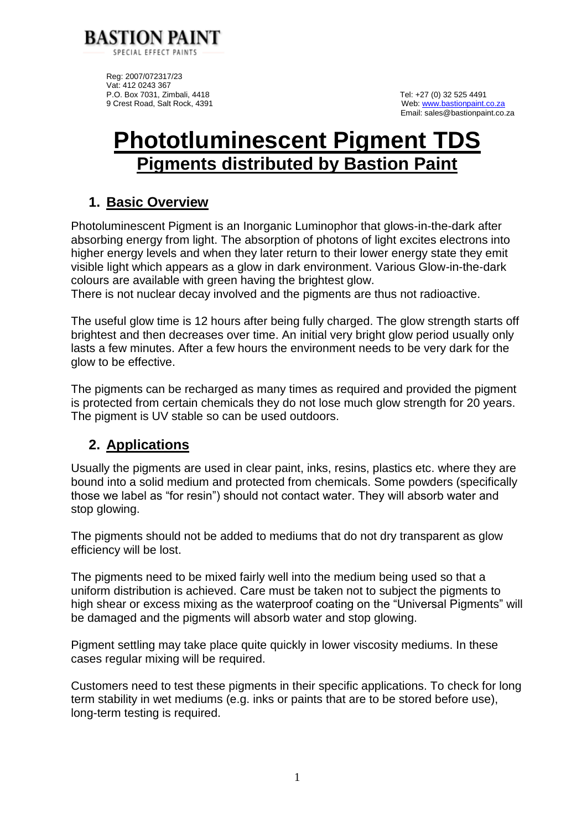

Reg: 2007/072317/23 Vat: 412 0243 367 P.O. Box 7031, Zimbali, 4418 **P.O. Box 7031, Zimbali, 4418** Tel: +27 (0) 32 525 4491<br>9 Crest Road, Salt Rock, 4391 **Tel: +27 (0)** Station Station Station Station Station Station Station Station Station Station Station Stat

Web[: www.bastionpaint.co.za](http://www.bastionpaint.co.za/) Email: sales@bastionpaint.co.za

# **Phototluminescent Pigment TDS Pigments distributed by Bastion Paint**

## **1. Basic Overview**

Photoluminescent Pigment is an Inorganic Luminophor that glows-in-the-dark after absorbing energy from light. The absorption of photons of light excites electrons into higher energy levels and when they later return to their lower energy state they emit visible light which appears as a glow in dark environment. Various Glow-in-the-dark colours are available with green having the brightest glow.

There is not nuclear decay involved and the pigments are thus not radioactive.

The useful glow time is 12 hours after being fully charged. The glow strength starts off brightest and then decreases over time. An initial very bright glow period usually only lasts a few minutes. After a few hours the environment needs to be very dark for the glow to be effective.

The pigments can be recharged as many times as required and provided the pigment is protected from certain chemicals they do not lose much glow strength for 20 years. The pigment is UV stable so can be used outdoors.

## **2. Applications**

Usually the pigments are used in clear paint, inks, resins, plastics etc. where they are bound into a solid medium and protected from chemicals. Some powders (specifically those we label as "for resin") should not contact water. They will absorb water and stop glowing.

The pigments should not be added to mediums that do not dry transparent as glow efficiency will be lost.

The pigments need to be mixed fairly well into the medium being used so that a uniform distribution is achieved. Care must be taken not to subject the pigments to high shear or excess mixing as the waterproof coating on the "Universal Pigments" will be damaged and the pigments will absorb water and stop glowing.

Pigment settling may take place quite quickly in lower viscosity mediums. In these cases regular mixing will be required.

Customers need to test these pigments in their specific applications. To check for long term stability in wet mediums (e.g. inks or paints that are to be stored before use), long-term testing is required.